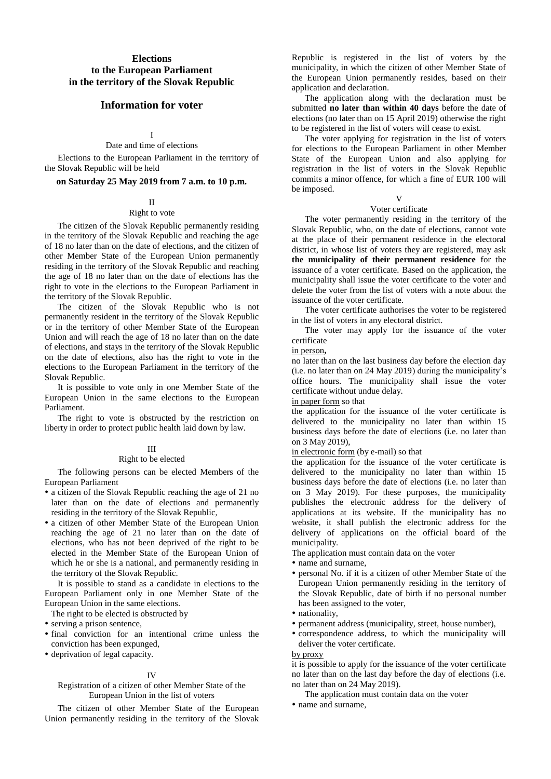# **Elections to the European Parliament in the territory of the Slovak Republic**

# **Information for voter**

I

Date and time of elections

Elections to the European Parliament in the territory of the Slovak Republic will be held

## **on Saturday 25 May 2019 from 7 a.m. to 10 p.m.**

#### II

#### Right to vote

The citizen of the Slovak Republic permanently residing in the territory of the Slovak Republic and reaching the age of 18 no later than on the date of elections, and the citizen of other Member State of the European Union permanently residing in the territory of the Slovak Republic and reaching the age of 18 no later than on the date of elections has the right to vote in the elections to the European Parliament in the territory of the Slovak Republic.

The citizen of the Slovak Republic who is not permanently resident in the territory of the Slovak Republic or in the territory of other Member State of the European Union and will reach the age of 18 no later than on the date of elections, and stays in the territory of the Slovak Republic on the date of elections, also has the right to vote in the elections to the European Parliament in the territory of the Slovak Republic.

It is possible to vote only in one Member State of the European Union in the same elections to the European Parliament.

The right to vote is obstructed by the restriction on liberty in order to protect public health laid down by law.

#### III

#### Right to be elected

The following persons can be elected Members of the European Parliament

- a citizen of the Slovak Republic reaching the age of 21 no later than on the date of elections and permanently residing in the territory of the Slovak Republic,
- a citizen of other Member State of the European Union reaching the age of 21 no later than on the date of elections, who has not been deprived of the right to be elected in the Member State of the European Union of which he or she is a national, and permanently residing in the territory of the Slovak Republic.

It is possible to stand as a candidate in elections to the European Parliament only in one Member State of the European Union in the same elections.

The right to be elected is obstructed by

- serving a prison sentence,
- final conviction for an intentional crime unless the conviction has been expunged,
- deprivation of legal capacity.

#### IV

#### Registration of a citizen of other Member State of the European Union in the list of voters

The citizen of other Member State of the European Union permanently residing in the territory of the Slovak Republic is registered in the list of voters by the municipality, in which the citizen of other Member State of the European Union permanently resides, based on their application and declaration.

The application along with the declaration must be submitted **no later than within 40 days** before the date of elections (no later than on 15 April 2019) otherwise the right to be registered in the list of voters will cease to exist.

The voter applying for registration in the list of voters for elections to the European Parliament in other Member State of the European Union and also applying for registration in the list of voters in the Slovak Republic commits a minor offence, for which a fine of EUR 100 will be imposed.

#### V

# Voter certificate

The voter permanently residing in the territory of the Slovak Republic, who, on the date of elections, cannot vote at the place of their permanent residence in the electoral district. in whose list of voters they are registered, may ask **the municipality of their permanent residence** for the issuance of a voter certificate. Based on the application, the municipality shall issue the voter certificate to the voter and delete the voter from the list of voters with a note about the issuance of the voter certificate.

The voter certificate authorises the voter to be registered in the list of voters in any electoral district.

The voter may apply for the issuance of the voter certificate

#### in person**,**

no later than on the last business day before the election day (i.e. no later than on 24 May 2019) during the municipality's office hours. The municipality shall issue the voter certificate without undue delay.

### in paper form so that

the application for the issuance of the voter certificate is delivered to the municipality no later than within 15 business days before the date of elections (i.e. no later than on 3 May 2019),

### in electronic form (by e-mail) so that

the application for the issuance of the voter certificate is delivered to the municipality no later than within 15 business days before the date of elections (i.e. no later than on 3 May 2019). For these purposes, the municipality publishes the electronic address for the delivery of applications at its website. If the municipality has no website, it shall publish the electronic address for the delivery of applications on the official board of the municipality.

The application must contain data on the voter

#### • name and surname.

- personal No. if it is a citizen of other Member State of the European Union permanently residing in the territory of the Slovak Republic, date of birth if no personal number has been assigned to the voter,
- nationality.
- permanent address (municipality, street, house number),
- correspondence address, to which the municipality will deliver the voter certificate.

by proxy

it is possible to apply for the issuance of the voter certificate no later than on the last day before the day of elections (i.e. no later than on 24 May 2019).

The application must contain data on the voter

• name and surname.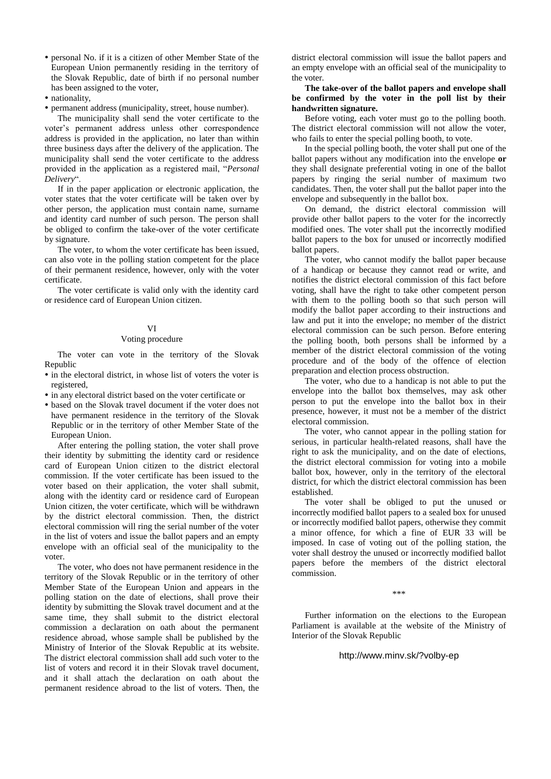- personal No. if it is a citizen of other Member State of the European Union permanently residing in the territory of the Slovak Republic, date of birth if no personal number has been assigned to the voter,
- nationality.
- permanent address (municipality, street, house number).

The municipality shall send the voter certificate to the voter's permanent address unless other correspondence address is provided in the application, no later than within three business days after the delivery of the application. The municipality shall send the voter certificate to the address provided in the application as a registered mail, "*Personal Delivery*".

If in the paper application or electronic application, the voter states that the voter certificate will be taken over by other person, the application must contain name, surname and identity card number of such person. The person shall be obliged to confirm the take-over of the voter certificate by signature.

The voter, to whom the voter certificate has been issued, can also vote in the polling station competent for the place of their permanent residence, however, only with the voter certificate.

The voter certificate is valid only with the identity card or residence card of European Union citizen.

# VI

### Voting procedure

The voter can vote in the territory of the Slovak Republic

- in the electoral district, in whose list of voters the voter is registered,
- in any electoral district based on the voter certificate or
- based on the Slovak travel document if the voter does not have permanent residence in the territory of the Slovak Republic or in the territory of other Member State of the European Union.

After entering the polling station, the voter shall prove their identity by submitting the identity card or residence card of European Union citizen to the district electoral commission. If the voter certificate has been issued to the voter based on their application, the voter shall submit, along with the identity card or residence card of European Union citizen, the voter certificate, which will be withdrawn by the district electoral commission. Then, the district electoral commission will ring the serial number of the voter in the list of voters and issue the ballot papers and an empty envelope with an official seal of the municipality to the voter.

The voter, who does not have permanent residence in the territory of the Slovak Republic or in the territory of other Member State of the European Union and appears in the polling station on the date of elections, shall prove their identity by submitting the Slovak travel document and at the same time, they shall submit to the district electoral commission a declaration on oath about the permanent residence abroad, whose sample shall be published by the Ministry of Interior of the Slovak Republic at its website. The district electoral commission shall add such voter to the list of voters and record it in their Slovak travel document, and it shall attach the declaration on oath about the permanent residence abroad to the list of voters. Then, the

district electoral commission will issue the ballot papers and an empty envelope with an official seal of the municipality to the voter.

**The take-over of the ballot papers and envelope shall be confirmed by the voter in the poll list by their handwritten signature.**

Before voting, each voter must go to the polling booth. The district electoral commission will not allow the voter, who fails to enter the special polling booth, to vote.

In the special polling booth, the voter shall put one of the ballot papers without any modification into the envelope **or**  they shall designate preferential voting in one of the ballot papers by ringing the serial number of maximum two candidates. Then, the voter shall put the ballot paper into the envelope and subsequently in the ballot box.

On demand, the district electoral commission will provide other ballot papers to the voter for the incorrectly modified ones. The voter shall put the incorrectly modified ballot papers to the box for unused or incorrectly modified ballot papers.

The voter, who cannot modify the ballot paper because of a handicap or because they cannot read or write, and notifies the district electoral commission of this fact before voting, shall have the right to take other competent person with them to the polling booth so that such person will modify the ballot paper according to their instructions and law and put it into the envelope; no member of the district electoral commission can be such person. Before entering the polling booth, both persons shall be informed by a member of the district electoral commission of the voting procedure and of the body of the offence of election preparation and election process obstruction.

The voter, who due to a handicap is not able to put the envelope into the ballot box themselves, may ask other person to put the envelope into the ballot box in their presence, however, it must not be a member of the district electoral commission.

The voter, who cannot appear in the polling station for serious, in particular health-related reasons, shall have the right to ask the municipality, and on the date of elections, the district electoral commission for voting into a mobile ballot box, however, only in the territory of the electoral district, for which the district electoral commission has been established.

The voter shall be obliged to put the unused or incorrectly modified ballot papers to a sealed box for unused or incorrectly modified ballot papers, otherwise they commit a minor offence, for which a fine of EUR 33 will be imposed. In case of voting out of the polling station, the voter shall destroy the unused or incorrectly modified ballot papers before the members of the district electoral commission.

\*\*\*

Further information on the elections to the European Parliament is available at the website of the Ministry of Interior of the Slovak Republic

<http://www.minv.sk/?volby-ep>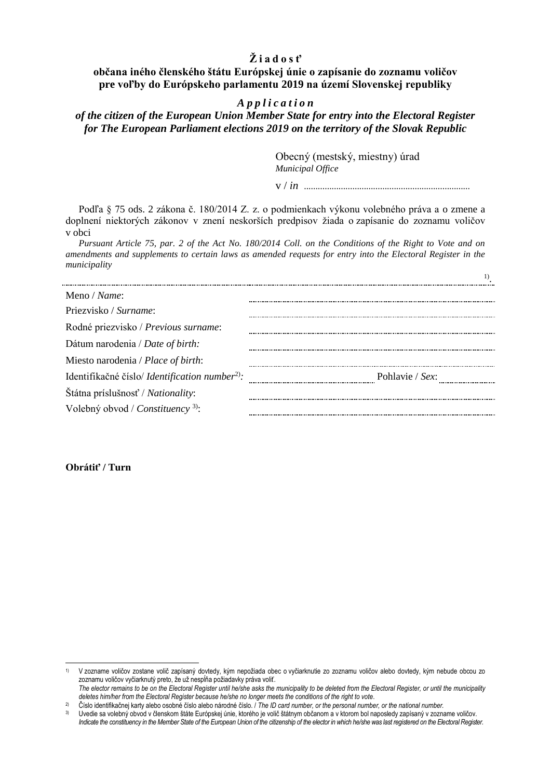# **Ž i a d o s ť**

# **občana iného členského štátu Európskej únie o zapísanie do zoznamu voličov pre voľby do Európskeho parlamentu 2019 na území Slovenskej republiky**

# *A p p l i c a t i o n*

# *of the citizen of the European Union Member State for entry into the Electoral Register for The European Parliament elections 2019 on the territory of the Slovak Republic*

Obecný (mestský, miestny) úrad *Municipal Office*

v / *in* ........................................................................

Podľa § 75 ods. 2 zákona č. 180/2014 Z. z. o podmienkach výkonu volebného práva a o zmene a doplnení niektorých zákonov v znení neskorších predpisov žiada o zapísanie do zoznamu voličov v obci

*Pursuant Article 75, par. 2 of the Act No. 180/2014 Coll. on the Conditions of the Right to Vote and on amendments and supplements to certain laws as amended requests for entry into the Electoral Register in the municipality*

| Meno / Name:                                                      |                 |
|-------------------------------------------------------------------|-----------------|
| Priezvisko / Surname:                                             |                 |
| Rodné priezvisko / Previous surname:                              |                 |
| Dátum narodenia / Date of birth:                                  |                 |
| Miesto narodenia / Place of birth:                                |                 |
| Identifikačné číslo/ <i>Identification number</i> <sup>2)</sup> : | Pohlavie / Sex: |
| Štátna príslušnosť / Nationality:                                 |                 |
| Volebný obvod / Constituency <sup>3)</sup> :                      |                 |

**Obrátiť / Turn**

 $\overline{a}$ 

<sup>1)</sup> V zozname voličov zostane volič zapísaný dovtedy, kým nepožiada obec o vyčiarknutie zo zoznamu voličov alebo dovtedy, kým nebude obcou zo zoznamu voličov vyčiarknutý preto, že už nespĺňa požiadavky práva voliť.

The elector remains to be on the Electoral Register until he/she asks the municipality to be deleted from the Electoral Register, or until the municipality *deletes him/her from the Electoral Register because he/she no longer meets the conditions of the right to vote*.

<sup>&</sup>lt;sup>2)</sup> Číslo identifikačnej karty alebo osobné číslo alebo národné číslo. / The ID card number, or the personal number, or the national number.

<sup>3)</sup> Uvedie sa volebný obvod v členskom štáte Európskej únie, ktorého je volič štátnym občanom a v ktorom bol naposledy zapísaný v zozname voličov. *Indicate the constituency in the Member State of the European Union of the citizenship of the elector in which he/she was last registered on the Electoral Register.*